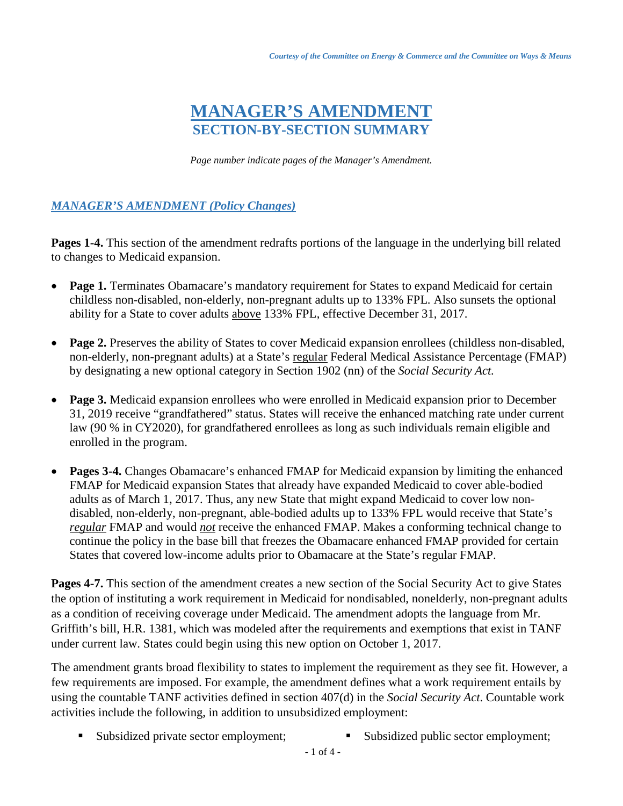## **MANAGER'S AMENDMENT SECTION-BY-SECTION SUMMARY**

*Page number indicate pages of the Manager's Amendment.*

## *MANAGER'S AMENDMENT (Policy Changes)*

**Pages 1-4.** This section of the amendment redrafts portions of the language in the underlying bill related to changes to Medicaid expansion.

- **Page 1.** Terminates Obamacare's mandatory requirement for States to expand Medicaid for certain childless non-disabled, non-elderly, non-pregnant adults up to 133% FPL. Also sunsets the optional ability for a State to cover adults above 133% FPL, effective December 31, 2017.
- **Page 2.** Preserves the ability of States to cover Medicaid expansion enrollees (childless non-disabled, non-elderly, non-pregnant adults) at a State's regular Federal Medical Assistance Percentage (FMAP) by designating a new optional category in Section 1902 (nn) of the *Social Security Act.*
- **Page 3.** Medicaid expansion enrollees who were enrolled in Medicaid expansion prior to December 31, 2019 receive "grandfathered" status. States will receive the enhanced matching rate under current law (90 % in CY2020), for grandfathered enrollees as long as such individuals remain eligible and enrolled in the program.
- **Pages 3-4.** Changes Obamacare's enhanced FMAP for Medicaid expansion by limiting the enhanced FMAP for Medicaid expansion States that already have expanded Medicaid to cover able-bodied adults as of March 1, 2017. Thus, any new State that might expand Medicaid to cover low nondisabled, non-elderly, non-pregnant, able-bodied adults up to 133% FPL would receive that State's *regular* FMAP and would *not* receive the enhanced FMAP. Makes a conforming technical change to continue the policy in the base bill that freezes the Obamacare enhanced FMAP provided for certain States that covered low-income adults prior to Obamacare at the State's regular FMAP.

**Pages 4-7.** This section of the amendment creates a new section of the Social Security Act to give States the option of instituting a work requirement in Medicaid for nondisabled, nonelderly, non-pregnant adults as a condition of receiving coverage under Medicaid. The amendment adopts the language from Mr. Griffith's bill, H.R. 1381, which was modeled after the requirements and exemptions that exist in TANF under current law. States could begin using this new option on October 1, 2017.

The amendment grants broad flexibility to states to implement the requirement as they see fit. However, a few requirements are imposed. For example, the amendment defines what a work requirement entails by using the countable TANF activities defined in section 407(d) in the *Social Security Act*. Countable work activities include the following, in addition to unsubsidized employment:

- Subsidized private sector employment; Subsidized public sector employment;
	- 1 of 4 -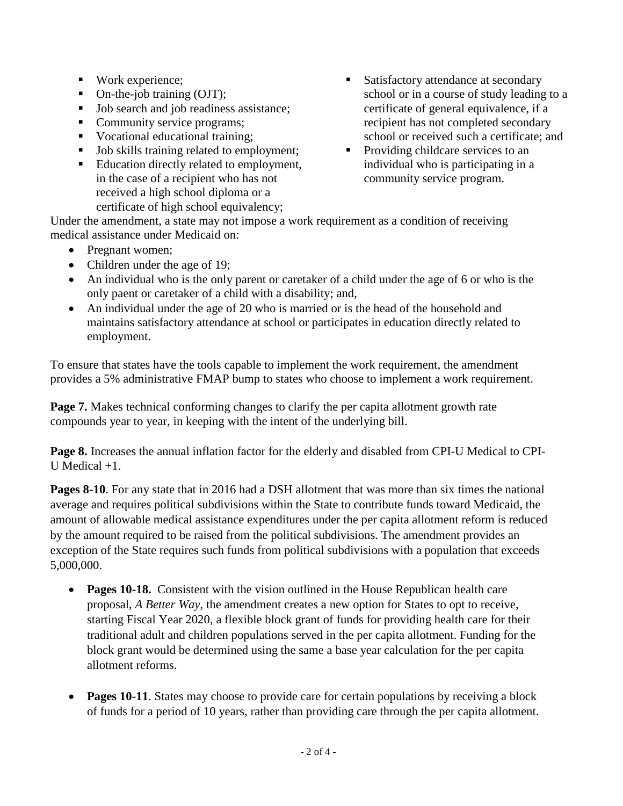- Work experience;
- On-the-job training (OJT);
- Job search and job readiness assistance;
- Community service programs;
- Vocational educational training:
- Job skills training related to employment;
- Education directly related to employment, in the case of a recipient who has not received a high school diploma or a certificate of high school equivalency;
- Satisfactory attendance at secondary school or in a course of study leading to a certificate of general equivalence, if a recipient has not completed secondary school or received such a certificate; and
- Providing childcare services to an individual who is participating in a community service program.

Under the amendment, a state may not impose a work requirement as a condition of receiving medical assistance under Medicaid on:

- Pregnant women:
- Children under the age of 19;
- An individual who is the only parent or caretaker of a child under the age of 6 or who is the only paent or caretaker of a child with a disability; and,
- An individual under the age of 20 who is married or is the head of the household and maintains satisfactory attendance at school or participates in education directly related to employment.

To ensure that states have the tools capable to implement the work requirement, the amendment provides a 5% administrative FMAP bump to states who choose to implement a work requirement.

**Page 7.** Makes technical conforming changes to clarify the per capita allotment growth rate compounds year to year, in keeping with the intent of the underlying bill.

**Page 8.** Increases the annual inflation factor for the elderly and disabled from CPI-U Medical to CPI-U Medical +1.

**Pages 8-10**. For any state that in 2016 had a DSH allotment that was more than six times the national average and requires political subdivisions within the State to contribute funds toward Medicaid, the amount of allowable medical assistance expenditures under the per capita allotment reform is reduced by the amount required to be raised from the political subdivisions. The amendment provides an exception of the State requires such funds from political subdivisions with a population that exceeds 5,000,000.

- **Pages 10-18.** Consistent with the vision outlined in the House Republican health care proposal, *A Better Way,* the amendment creates a new option for States to opt to receive, starting Fiscal Year 2020, a flexible block grant of funds for providing health care for their traditional adult and children populations served in the per capita allotment. Funding for the block grant would be determined using the same a base year calculation for the per capita allotment reforms.
- **Pages 10-11**. States may choose to provide care for certain populations by receiving a block of funds for a period of 10 years, rather than providing care through the per capita allotment.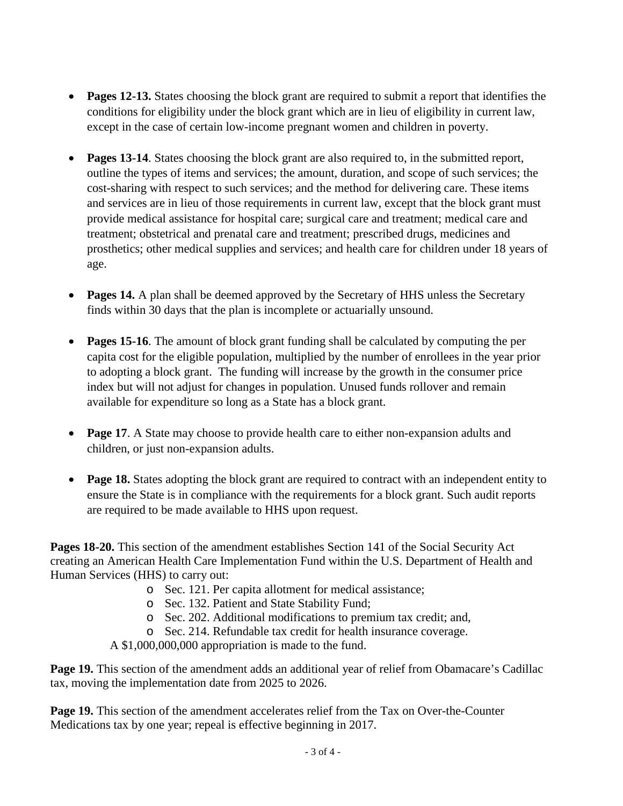- **Pages 12-13.** States choosing the block grant are required to submit a report that identifies the conditions for eligibility under the block grant which are in lieu of eligibility in current law, except in the case of certain low-income pregnant women and children in poverty.
- **Pages 13-14**. States choosing the block grant are also required to, in the submitted report, outline the types of items and services; the amount, duration, and scope of such services; the cost-sharing with respect to such services; and the method for delivering care. These items and services are in lieu of those requirements in current law, except that the block grant must provide medical assistance for hospital care; surgical care and treatment; medical care and treatment; obstetrical and prenatal care and treatment; prescribed drugs, medicines and prosthetics; other medical supplies and services; and health care for children under 18 years of age.
- **Pages 14.** A plan shall be deemed approved by the Secretary of HHS unless the Secretary finds within 30 days that the plan is incomplete or actuarially unsound.
- **Pages 15-16**. The amount of block grant funding shall be calculated by computing the per capita cost for the eligible population, multiplied by the number of enrollees in the year prior to adopting a block grant. The funding will increase by the growth in the consumer price index but will not adjust for changes in population. Unused funds rollover and remain available for expenditure so long as a State has a block grant.
- **Page 17**. A State may choose to provide health care to either non-expansion adults and children, or just non-expansion adults.
- **Page 18.** States adopting the block grant are required to contract with an independent entity to ensure the State is in compliance with the requirements for a block grant. Such audit reports are required to be made available to HHS upon request.

**Pages 18-20.** This section of the amendment establishes Section 141 of the Social Security Act creating an American Health Care Implementation Fund within the U.S. Department of Health and Human Services (HHS) to carry out:

- o Sec. 121. Per capita allotment for medical assistance;
- o Sec. 132. Patient and State Stability Fund;
- o Sec. 202. Additional modifications to premium tax credit; and,
- o Sec. 214. Refundable tax credit for health insurance coverage.

A \$1,000,000,000 appropriation is made to the fund.

**Page 19.** This section of the amendment adds an additional year of relief from Obamacare's Cadillac tax, moving the implementation date from 2025 to 2026.

**Page 19.** This section of the amendment accelerates relief from the Tax on Over-the-Counter Medications tax by one year; repeal is effective beginning in 2017.